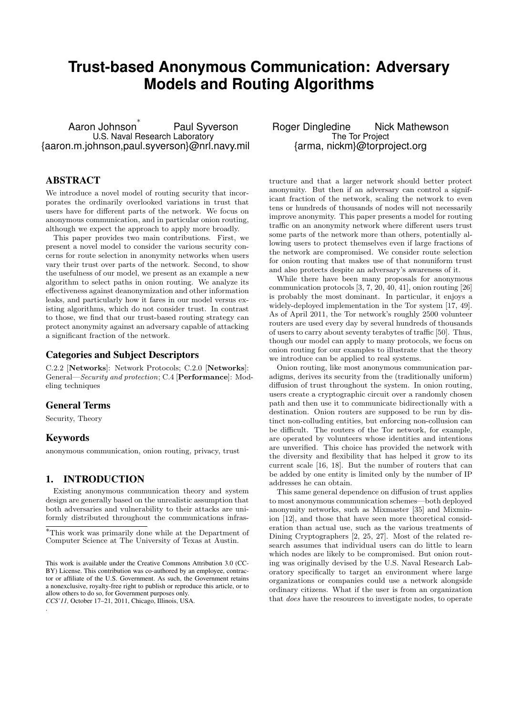# **Trust-based Anonymous Communication: Adversary Models and Routing Algorithms**

Aaron Johnson ∗ Paul Syverson U.S. Naval Research Laboratory {aaron.m.johnson,paul.syverson}@nrl.navy.mil

# ABSTRACT

We introduce a novel model of routing security that incorporates the ordinarily overlooked variations in trust that users have for different parts of the network. We focus on anonymous communication, and in particular onion routing, although we expect the approach to apply more broadly.

This paper provides two main contributions. First, we present a novel model to consider the various security concerns for route selection in anonymity networks when users vary their trust over parts of the network. Second, to show the usefulness of our model, we present as an example a new algorithm to select paths in onion routing. We analyze its effectiveness against deanonymization and other information leaks, and particularly how it fares in our model versus existing algorithms, which do not consider trust. In contrast to those, we find that our trust-based routing strategy can protect anonymity against an adversary capable of attacking a significant fraction of the network.

## Categories and Subject Descriptors

C.2.2 [Networks]: Network Protocols; C.2.0 [Networks]: General—Security and protection; C.4 [Performance]: Modeling techniques

# General Terms

Security, Theory

# Keywords

.

anonymous communication, onion routing, privacy, trust

# 1. INTRODUCTION

Existing anonymous communication theory and system design are generally based on the unrealistic assumption that both adversaries and vulnerability to their attacks are uniformly distributed throughout the communications infras-

*CCS'11,* October 17–21, 2011, Chicago, Illinois, USA.

Roger Dingledine Nick Mathewson The Tor Project {arma, nickm}@torproject.org

tructure and that a larger network should better protect anonymity. But then if an adversary can control a significant fraction of the network, scaling the network to even tens or hundreds of thousands of nodes will not necessarily improve anonymity. This paper presents a model for routing traffic on an anonymity network where different users trust some parts of the network more than others, potentially allowing users to protect themselves even if large fractions of the network are compromised. We consider route selection for onion routing that makes use of that nonuniform trust and also protects despite an adversary's awareness of it.

While there have been many proposals for anonymous communication protocols [3, 7, 20, 40, 41], onion routing [26] is probably the most dominant. In particular, it enjoys a widely-deployed implementation in the Tor system [17, 49]. As of April 2011, the Tor network's roughly 2500 volunteer routers are used every day by several hundreds of thousands of users to carry about seventy terabytes of traffic [50]. Thus, though our model can apply to many protocols, we focus on onion routing for our examples to illustrate that the theory we introduce can be applied to real systems.

Onion routing, like most anonymous communication paradigms, derives its security from the (traditionally uniform) diffusion of trust throughout the system. In onion routing, users create a cryptographic circuit over a randomly chosen path and then use it to communicate bidirectionally with a destination. Onion routers are supposed to be run by distinct non-colluding entities, but enforcing non-collusion can be difficult. The routers of the Tor network, for example, are operated by volunteers whose identities and intentions are unverified. This choice has provided the network with the diversity and flexibility that has helped it grow to its current scale [16, 18]. But the number of routers that can be added by one entity is limited only by the number of IP addresses he can obtain.

This same general dependence on diffusion of trust applies to most anonymous communication schemes—both deployed anonymity networks, such as Mixmaster [35] and Mixminion [12], and those that have seen more theoretical consideration than actual use, such as the various treatments of Dining Cryptographers [2, 25, 27]. Most of the related research assumes that individual users can do little to learn which nodes are likely to be compromised. But onion routing was originally devised by the U.S. Naval Research Laboratory specifically to target an environment where large organizations or companies could use a network alongside ordinary citizens. What if the user is from an organization that does have the resources to investigate nodes, to operate

<sup>∗</sup>This work was primarily done while at the Department of Computer Science at The University of Texas at Austin.

This work is available under the Creative Commons Attribution 3.0 (CC-BY) License. This contribution was co-authored by an employee, contractor or affiliate of the U.S. Government. As such, the Government retains a nonexclusive, royalty-free right to publish or reproduce this article, or to allow others to do so, for Government purposes only.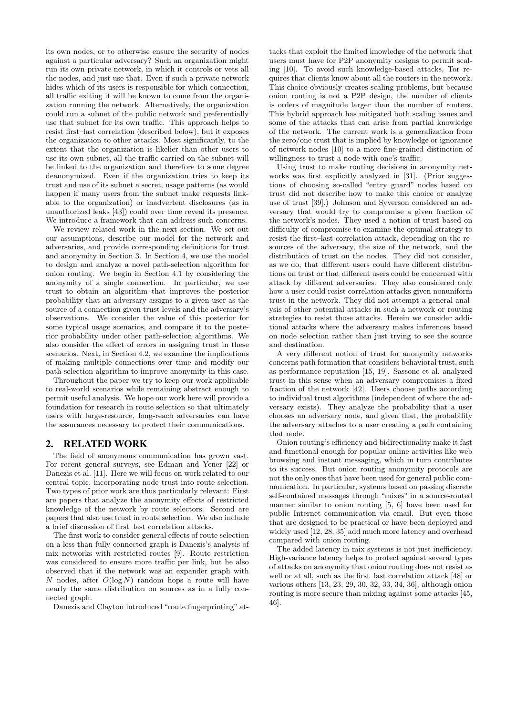its own nodes, or to otherwise ensure the security of nodes against a particular adversary? Such an organization might run its own private network, in which it controls or vets all the nodes, and just use that. Even if such a private network hides which of its users is responsible for which connection, all traffic exiting it will be known to come from the organization running the network. Alternatively, the organization could run a subnet of the public network and preferentially use that subnet for its own traffic. This approach helps to resist first–last correlation (described below), but it exposes the organization to other attacks. Most significantly, to the extent that the organization is likelier than other users to use its own subnet, all the traffic carried on the subnet will be linked to the organization and therefore to some degree deanonymized. Even if the organization tries to keep its trust and use of its subnet a secret, usage patterns (as would happen if many users from the subnet make requests linkable to the organization) or inadvertent disclosures (as in unauthorized leaks [43]) could over time reveal its presence. We introduce a framework that can address such concerns.

We review related work in the next section. We set out our assumptions, describe our model for the network and adversaries, and provide corresponding definitions for trust and anonymity in Section 3. In Section 4, we use the model to design and analyze a novel path-selection algorithm for onion routing. We begin in Section 4.1 by considering the anonymity of a single connection. In particular, we use trust to obtain an algorithm that improves the posterior probability that an adversary assigns to a given user as the source of a connection given trust levels and the adversary's observations. We consider the value of this posterior for some typical usage scenarios, and compare it to the posterior probability under other path-selection algorithms. We also consider the effect of errors in assigning trust in these scenarios. Next, in Section 4.2, we examine the implications of making multiple connections over time and modify our path-selection algorithm to improve anonymity in this case.

Throughout the paper we try to keep our work applicable to real-world scenarios while remaining abstract enough to permit useful analysis. We hope our work here will provide a foundation for research in route selection so that ultimately users with large-resource, long-reach adversaries can have the assurances necessary to protect their communications.

# 2. RELATED WORK

The field of anonymous communication has grown vast. For recent general surveys, see Edman and Yener [22] or Danezis et al. [11]. Here we will focus on work related to our central topic, incorporating node trust into route selection. Two types of prior work are thus particularly relevant: First are papers that analyze the anonymity effects of restricted knowledge of the network by route selectors. Second are papers that also use trust in route selection. We also include a brief discussion of first–last correlation attacks.

The first work to consider general effects of route selection on a less than fully connected graph is Danezis's analysis of mix networks with restricted routes [9]. Route restriction was considered to ensure more traffic per link, but he also observed that if the network was an expander graph with N nodes, after  $O(\log N)$  random hops a route will have nearly the same distribution on sources as in a fully connected graph.

Danezis and Clayton introduced "route fingerprinting" at-

tacks that exploit the limited knowledge of the network that users must have for P2P anonymity designs to permit scaling [10]. To avoid such knowledge-based attacks, Tor requires that clients know about all the routers in the network. This choice obviously creates scaling problems, but because onion routing is not a P2P design, the number of clients is orders of magnitude larger than the number of routers. This hybrid approach has mitigated both scaling issues and some of the attacks that can arise from partial knowledge of the network. The current work is a generalization from the zero/one trust that is implied by knowledge or ignorance of network nodes [10] to a more fine-grained distinction of willingness to trust a node with one's traffic.

Using trust to make routing decisions in anonymity networks was first explicitly analyzed in [31]. (Prior suggestions of choosing so-called "entry guard" nodes based on trust did not describe how to make this choice or analyze use of trust [39].) Johnson and Syverson considered an adversary that would try to compromise a given fraction of the network's nodes. They used a notion of trust based on difficulty-of-compromise to examine the optimal strategy to resist the first–last correlation attack, depending on the resources of the adversary, the size of the network, and the distribution of trust on the nodes. They did not consider, as we do, that different users could have different distributions on trust or that different users could be concerned with attack by different adversaries. They also considered only how a user could resist correlation attacks given nonuniform trust in the network. They did not attempt a general analysis of other potential attacks in such a network or routing strategies to resist those attacks. Herein we consider additional attacks where the adversary makes inferences based on node selection rather than just trying to see the source and destination.

A very different notion of trust for anonymity networks concerns path formation that considers behavioral trust, such as performance reputation [15, 19]. Sassone et al. analyzed trust in this sense when an adversary compromises a fixed fraction of the network [42]. Users choose paths according to individual trust algorithms (independent of where the adversary exists). They analyze the probability that a user chooses an adversary node, and given that, the probability the adversary attaches to a user creating a path containing that node.

Onion routing's efficiency and bidirectionality make it fast and functional enough for popular online activities like web browsing and instant messaging, which in turn contributes to its success. But onion routing anonymity protocols are not the only ones that have been used for general public communication. In particular, systems based on passing discrete self-contained messages through "mixes" in a source-routed manner similar to onion routing [5, 6] have been used for public Internet communication via email. But even those that are designed to be practical or have been deployed and widely used [12, 28, 35] add much more latency and overhead compared with onion routing.

The added latency in mix systems is not just inefficiency. High-variance latency helps to protect against several types of attacks on anonymity that onion routing does not resist as well or at all, such as the first–last correlation attack [48] or various others [13, 23, 29, 30, 32, 33, 34, 36], although onion routing is more secure than mixing against some attacks [45, 46].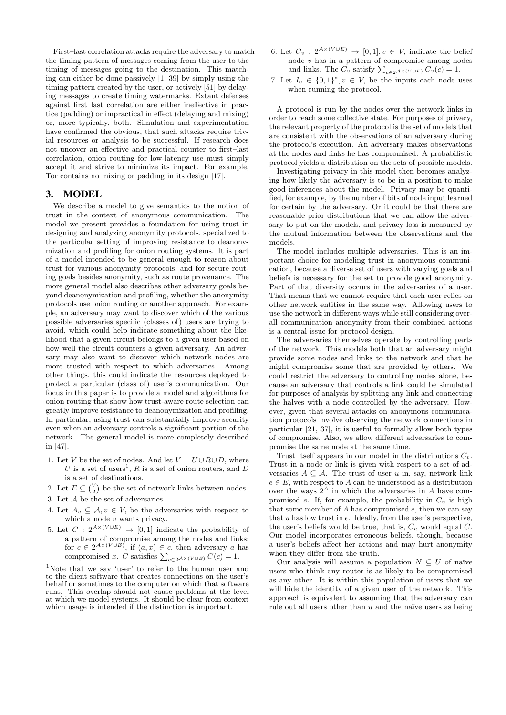First–last correlation attacks require the adversary to match the timing pattern of messages coming from the user to the timing of messages going to the destination. This matching can either be done passively [1, 39] by simply using the timing pattern created by the user, or actively [51] by delaying messages to create timing watermarks. Extant defenses against first–last correlation are either ineffective in practice (padding) or impractical in effect (delaying and mixing) or, more typically, both. Simulation and experimentation have confirmed the obvious, that such attacks require trivial resources or analysis to be successful. If research does not uncover an effective and practical counter to first–last correlation, onion routing for low-latency use must simply accept it and strive to minimize its impact. For example, Tor contains no mixing or padding in its design [17].

# 3. MODEL

We describe a model to give semantics to the notion of trust in the context of anonymous communication. The model we present provides a foundation for using trust in designing and analyzing anonymity protocols, specialized to the particular setting of improving resistance to deanonymization and profiling for onion routing systems. It is part of a model intended to be general enough to reason about trust for various anonymity protocols, and for secure routing goals besides anonymity, such as route provenance. The more general model also describes other adversary goals beyond deanonymization and profiling, whether the anonymity protocols use onion routing or another approach. For example, an adversary may want to discover which of the various possible adversaries specific (classes of) users are trying to avoid, which could help indicate something about the likelihood that a given circuit belongs to a given user based on how well the circuit counters a given adversary. An adversary may also want to discover which network nodes are more trusted with respect to which adversaries. Among other things, this could indicate the resources deployed to protect a particular (class of) user's communication. Our focus in this paper is to provide a model and algorithms for onion routing that show how trust-aware route selection can greatly improve resistance to deanonymization and profiling. In particular, using trust can substantially improve security even when an adversary controls a significant portion of the network. The general model is more completely described in [47].

- 1. Let V be the set of nodes. And let  $V = U \cup R \cup D$ , where U is a set of users<sup>1</sup>, R is a set of onion routers, and D is a set of destinations.
- 2. Let  $E \subseteq {V \choose 2}$  be the set of network links between nodes.
- 3. Let A be the set of adversaries.
- 4. Let  $A_v \subseteq A, v \in V$ , be the adversaries with respect to which a node  $v$  wants privacy.
- 5. Let  $C: 2^{\mathcal{A} \times (V \cup E)} \rightarrow [0, 1]$  indicate the probability of a pattern of compromise among the nodes and links: for  $c \in 2^{\mathcal{A} \times (V \cup E)}$ , if  $(a, x) \in c$ , then adversary a has compromised x. C satisfies  $\sum_{c \in 2^{\mathcal{A}} \times (V \cup E)} C(c) = 1$ .
- 6. Let  $C_v$  :  $2^{\mathcal{A}\times(V\cup E)} \rightarrow [0,1], v \in V$ , indicate the belief node  $v$  has in a pattern of compromise among nodes and links. The  $C_v$  satisfy  $\sum_{c \in 2^{\mathcal{A}} \times (V \cup E)} C_v(c) = 1$ .
- 7. Let  $I_v \in \{0,1\}^*, v \in V$ , be the inputs each node uses when running the protocol.

A protocol is run by the nodes over the network links in order to reach some collective state. For purposes of privacy, the relevant property of the protocol is the set of models that are consistent with the observations of an adversary during the protocol's execution. An adversary makes observations at the nodes and links he has compromised. A probabilistic protocol yields a distribution on the sets of possible models.

Investigating privacy in this model then becomes analyzing how likely the adversary is to be in a position to make good inferences about the model. Privacy may be quantified, for example, by the number of bits of node input learned for certain by the adversary. Or it could be that there are reasonable prior distributions that we can allow the adversary to put on the models, and privacy loss is measured by the mutual information between the observations and the models.

The model includes multiple adversaries. This is an important choice for modeling trust in anonymous communication, because a diverse set of users with varying goals and beliefs is necessary for the set to provide good anonymity. Part of that diversity occurs in the adversaries of a user. That means that we cannot require that each user relies on other network entities in the same way. Allowing users to use the network in different ways while still considering overall communication anonymity from their combined actions is a central issue for protocol design.

The adversaries themselves operate by controlling parts of the network. This models both that an adversary might provide some nodes and links to the network and that he might compromise some that are provided by others. We could restrict the adversary to controlling nodes alone, because an adversary that controls a link could be simulated for purposes of analysis by splitting any link and connecting the halves with a node controlled by the adversary. However, given that several attacks on anonymous communication protocols involve observing the network connections in particular [21, 37], it is useful to formally allow both types of compromise. Also, we allow different adversaries to compromise the same node at the same time.

Trust itself appears in our model in the distributions  $C_v$ . Trust in a node or link is given with respect to a set of adversaries  $A \subseteq \mathcal{A}$ . The trust of user u in, say, network link  $e \in E$ , with respect to A can be understood as a distribution over the ways  $2^A$  in which the adversaries in A have compromised e. If, for example, the probability in  $C_u$  is high that some member of  $A$  has compromised  $e$ , then we can say that  $u$  has low trust in  $e$ . Ideally, from the user's perspective. the user's beliefs would be true, that is,  $C_u$  would equal  $C$ . Our model incorporates erroneous beliefs, though, because a user's beliefs affect her actions and may hurt anonymity when they differ from the truth.

Our analysis will assume a population  $N \subseteq U$  of naïve users who think any router is as likely to be compromised as any other. It is within this population of users that we will hide the identity of a given user of the network. This approach is equivalent to assuming that the adversary can rule out all users other than  $u$  and the naïve users as being

<sup>&</sup>lt;sup>1</sup>Note that we say 'user' to refer to the human user and to the client software that creates connections on the user's behalf or sometimes to the computer on which that software runs. This overlap should not cause problems at the level at which we model systems. It should be clear from context which usage is intended if the distinction is important.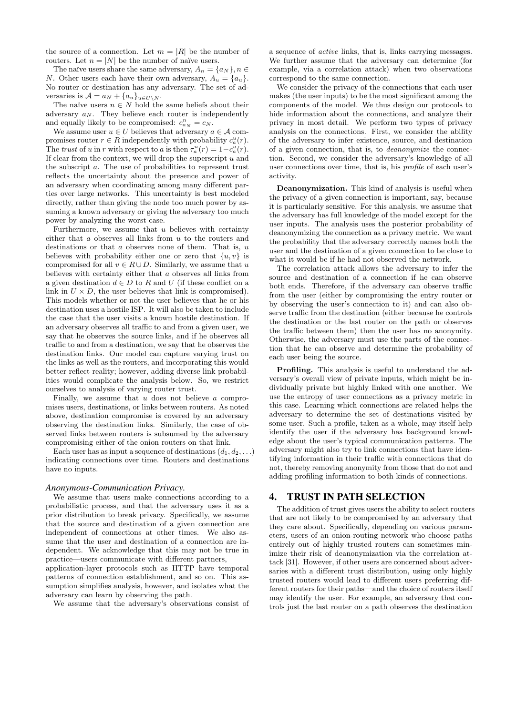the source of a connection. Let  $m = |R|$  be the number of routers. Let  $n = |N|$  be the number of naïve users.

The naïve users share the same adversary,  $A_n = \{a_N\}, n \in$ N. Other users each have their own adversary,  $A_u = \{a_u\}.$ No router or destination has any adversary. The set of adversaries is  $\mathcal{A} = a_N + \{a_u\}_{u \in U \setminus N}$ .

The naïve users  $n \in N$  hold the same beliefs about their adversary  $a_N$ . They believe each router is independently and equally likely to be compromised:  $c_{a_N}^n = c_N$ .

We assume user  $u \in U$  believes that adversary  $a \in \mathcal{A}$  compromises router  $r \in R$  independently with probability  $c_a^u(r)$ . The trust of u in r with respect to a is then  $\tau_a^u(r) = 1 - c_a^u(r)$ . If clear from the context, we will drop the superscript  $u$  and the subscript  $a$ . The use of probabilities to represent trust reflects the uncertainty about the presence and power of an adversary when coordinating among many different parties over large networks. This uncertainty is best modeled directly, rather than giving the node too much power by assuming a known adversary or giving the adversary too much power by analyzing the worst case.

Furthermore, we assume that  $u$  believes with certainty either that a observes all links from u to the routers and destinations or that  $a$  observes none of them. That is,  $u$ believes with probability either one or zero that  $\{u, v\}$  is compromised for all  $v \in R \cup D$ . Similarly, we assume that u believes with certainty either that a observes all links from a given destination  $d \in D$  to R and U (if these conflict on a link in  $U \times D$ , the user believes that link is compromised). This models whether or not the user believes that he or his destination uses a hostile ISP. It will also be taken to include the case that the user visits a known hostile destination. If an adversary observes all traffic to and from a given user, we say that he observes the source links, and if he observes all traffic to and from a destination, we say that he observes the destination links. Our model can capture varying trust on the links as well as the routers, and incorporating this would better reflect reality; however, adding diverse link probabilities would complicate the analysis below. So, we restrict ourselves to analysis of varying router trust.

Finally, we assume that u does not believe a compromises users, destinations, or links between routers. As noted above, destination compromise is covered by an adversary observing the destination links. Similarly, the case of observed links between routers is subsumed by the adversary compromising either of the onion routers on that link.

Each user has as input a sequence of destinations  $(d_1, d_2, \ldots)$ indicating connections over time. Routers and destinations have no inputs.

#### *Anonymous-Communication Privacy.*

We assume that users make connections according to a probabilistic process, and that the adversary uses it as a prior distribution to break privacy. Specifically, we assume that the source and destination of a given connection are independent of connections at other times. We also assume that the user and destination of a connection are independent. We acknowledge that this may not be true in practice—users communicate with different partners, application-layer protocols such as HTTP have temporal

patterns of connection establishment, and so on. This assumption simplifies analysis, however, and isolates what the adversary can learn by observing the path.

We assume that the adversary's observations consist of

a sequence of active links, that is, links carrying messages. We further assume that the adversary can determine (for example, via a correlation attack) when two observations correspond to the same connection.

We consider the privacy of the connections that each user makes (the user inputs) to be the most significant among the components of the model. We thus design our protocols to hide information about the connections, and analyze their privacy in most detail. We perform two types of privacy analysis on the connections. First, we consider the ability of the adversary to infer existence, source, and destination of a given connection, that is, to deanonymize the connection. Second, we consider the adversary's knowledge of all user connections over time, that is, his profile of each user's activity.

Deanonymization. This kind of analysis is useful when the privacy of a given connection is important, say, because it is particularly sensitive. For this analysis, we assume that the adversary has full knowledge of the model except for the user inputs. The analysis uses the posterior probability of deanonymizing the connection as a privacy metric. We want the probability that the adversary correctly names both the user and the destination of a given connection to be close to what it would be if he had not observed the network.

The correlation attack allows the adversary to infer the source and destination of a connection if he can observe both ends. Therefore, if the adversary can observe traffic from the user (either by compromising the entry router or by observing the user's connection to it) and can also observe traffic from the destination (either because he controls the destination or the last router on the path or observes the traffic between them) then the user has no anonymity. Otherwise, the adversary must use the parts of the connection that he can observe and determine the probability of each user being the source.

Profiling. This analysis is useful to understand the adversary's overall view of private inputs, which might be individually private but highly linked with one another. We use the entropy of user connections as a privacy metric in this case. Learning which connections are related helps the adversary to determine the set of destinations visited by some user. Such a profile, taken as a whole, may itself help identify the user if the adversary has background knowledge about the user's typical communication patterns. The adversary might also try to link connections that have identifying information in their traffic with connections that do not, thereby removing anonymity from those that do not and adding profiling information to both kinds of connections.

# 4. TRUST IN PATH SELECTION

The addition of trust gives users the ability to select routers that are not likely to be compromised by an adversary that they care about. Specifically, depending on various parameters, users of an onion-routing network who choose paths entirely out of highly trusted routers can sometimes minimize their risk of deanonymization via the correlation attack [31]. However, if other users are concerned about adversaries with a different trust distribution, using only highly trusted routers would lead to different users preferring different routers for their paths—and the choice of routers itself may identify the user. For example, an adversary that controls just the last router on a path observes the destination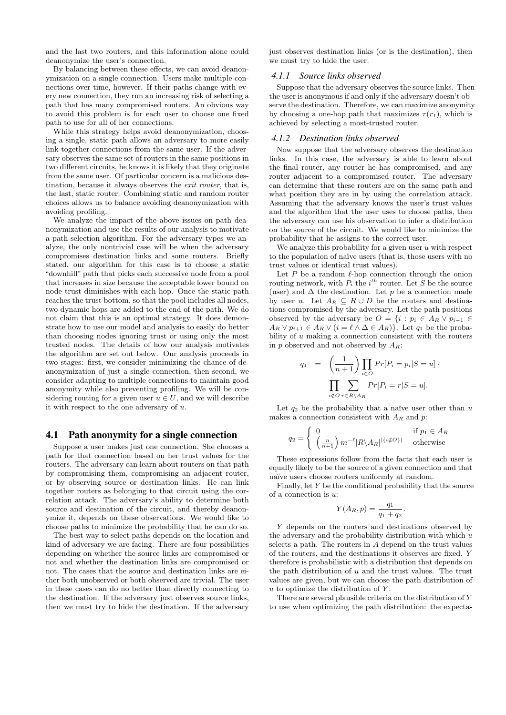and the last two routers, and this information alone could deanonymize the user's connection.

By balancing between these effects, we can avoid deanonymization on a single connection. Users make multiple connections over time, however. If their paths change with every new connection, they run an increasing risk of selecting a path that has many compromised routers. An obvious way to avoid this problem is for each user to choose one fixed path to use for all of her connections.

While this strategy helps avoid deanonymization, choosing a single, static path allows an adversary to more easily link together connections from the same user. If the adversary observes the same set of routers in the same positions in two different circuits, he knows it is likely that they originate from the same user. Of particular concern is a malicious destination, because it always observes the *exit router*, that is, the last, static router. Combining static and random router choices allows us to balance avoiding deanonymization with avoiding profiling.

We analyze the impact of the above issues on path deanonymization and use the results of our analysis to motivate a path-selection algorithm. For the adversary types we analyze, the only nontrivial case will be when the adversary compromises destination links and some routers. Briefly stated, our algorithm for this case is to choose a static "downhill" path that picks each successive node from a pool that increases in size because the acceptable lower bound on node trust diminishes with each hop. Once the static path reaches the trust bottom, so that the pool includes all nodes, two dynamic hops are added to the end of the path. We do not claim that this is an optimal strategy. It does demonstrate how to use our model and analysis to easily do better than choosing nodes ignoring trust or using only the most trusted nodes. The details of how our analysis motivates the algorithm are set out below. Our analysis proceeds in two stages: first, we consider minimizing the chance of deanonymization of just a single connection, then second, we consider adapting to multiple connections to maintain good anonymity while also preventing profiling. We will be considering routing for a given user  $u \in U$ , and we will describe it with respect to the one adversary of u.

## 4.1 Path anonymity for a single connection

Suppose a user makes just one connection. She chooses a path for that connection based on her trust values for the routers. The adversary can learn about routers on that path by compromising them, compromising an adjacent router, or by observing source or destination links. He can link together routers as belonging to that circuit using the correlation attack. The adversary's ability to determine both source and destination of the circuit, and thereby deanonymize it, depends on these observations. We would like to choose paths to minimize the probability that he can do so.

The best way to select paths depends on the location and kind of adversary we are facing. There are four possibilities depending on whether the source links are compromised or not and whether the destination links are compromised or not. The cases that the source and destination links are either both unobserved or both observed are trivial. The user in these cases can do no better than directly connecting to the destination. If the adversary just observes source links, then we must try to hide the destination. If the adversary just observes destination links (or is the destination), then we must try to hide the user.

#### *4.1.1 Source links observed*

Suppose that the adversary observes the source links. Then the user is anonymous if and only if the adversary doesn't observe the destination. Therefore, we can maximize anonymity by choosing a one-hop path that maximizes  $\tau(r_1)$ , which is achieved by selecting a most-trusted router.

#### *4.1.2 Destination links observed*

Now suppose that the adversary observes the destination links. In this case, the adversary is able to learn about the final router, any router he has compromised, and any router adjacent to a compromised router. The adversary can determine that these routers are on the same path and what position they are in by using the correlation attack. Assuming that the adversary knows the user's trust values and the algorithm that the user uses to choose paths, then the adversary can use his observation to infer a distribution on the source of the circuit. We would like to minimize the probability that he assigns to the correct user.

We analyze this probability for a given user  $u$  with respect to the population of naïve users (that is, those users with no trust values or identical trust values).

Let  $P$  be a random  $\ell$ -hop connection through the onion routing network, with  $P_i$  the  $i^{th}$  router. Let S be the source (user) and  $\Delta$  the destination. Let p be a connection made by user u. Let  $A_R \subseteq R \cup D$  be the routers and destinations compromised by the adversary. Let the path positions observed by the adversary be  $O = \{i : p_i \in A_R \vee p_{i-1} \in A_R\}$  $A_R \vee p_{i+1} \in A_R \vee (i = \ell \wedge \Delta \in A_R)$ . Let  $q_1$  be the probability of  $u$  making a connection consistent with the routers in p observed and not observed by  $A_R$ :

$$
q_1 = \left(\frac{1}{n+1}\right) \prod_{i \in O} Pr[P_i = p_i | S = u].
$$

$$
\prod_{i \notin O} \sum_{r \in R \setminus A_R} Pr[P_i = r | S = u].
$$

Let  $q_2$  be the probability that a naïve user other than u makes a connection consistent with  $A_R$  and p:

$$
q_2 = \begin{cases} 0 & \text{if } p_1 \in A_R \\ \left(\frac{n}{n+1}\right) m^{-\ell} |R \backslash A_R|^{|\{i \notin O\}|} & \text{otherwise} \end{cases}
$$

These expressions follow from the facts that each user is equally likely to be the source of a given connection and that naïve users choose routers uniformly at random.

Finally, let Y be the conditional probability that the source of a connection is u:

$$
Y(A_R, p) = \frac{q_1}{q_1 + q_2}.
$$

Y depends on the routers and destinations observed by the adversary and the probability distribution with which  $u$ selects a path. The routers in A depend on the trust values of the routers, and the destinations it observes are fixed. Y therefore is probabilistic with a distribution that depends on the path distribution of  $u$  and the trust values. The trust values are given, but we can choose the path distribution of  $u$  to optimize the distribution of  $Y$ .

There are several plausible criteria on the distribution of Y to use when optimizing the path distribution: the expecta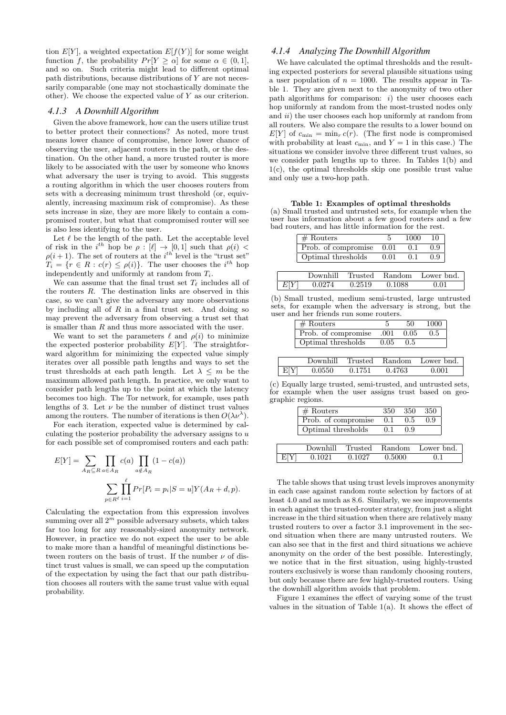tion  $E[Y]$ , a weighted expectation  $E[f(Y)]$  for some weight function f, the probability  $Pr[Y \ge \alpha]$  for some  $\alpha \in (0,1]$ , and so on. Such criteria might lead to different optimal path distributions, because distributions of  $Y$  are not necessarily comparable (one may not stochastically dominate the other). We choose the expected value of  $Y$  as our criterion.

## *4.1.3 A Downhill Algorithm*

Given the above framework, how can the users utilize trust to better protect their connections? As noted, more trust means lower chance of compromise, hence lower chance of observing the user, adjacent routers in the path, or the destination. On the other hand, a more trusted router is more likely to be associated with the user by someone who knows what adversary the user is trying to avoid. This suggests a routing algorithm in which the user chooses routers from sets with a decreasing minimum trust threshold (or, equivalently, increasing maximum risk of compromise). As these sets increase in size, they are more likely to contain a compromised router, but what that compromised router will see is also less identifying to the user.

Let  $\ell$  be the length of the path. Let the acceptable level of risk in the  $i^{th}$  hop be  $\rho : [\ell] \to [0, 1]$  such that  $\rho(i)$  <  $\rho(i+1)$ . The set of routers at the i<sup>th</sup> level is the "trust set"  $T_i = \{r \in R : c(r) \leq \rho(i)\}.$  The user chooses the  $i^{th}$  hop independently and uniformly at random from  $T_i$ .

We can assume that the final trust set  $T_\ell$  includes all of the routers R. The destination links are observed in this case, so we can't give the adversary any more observations by including all of  $R$  in a final trust set. And doing so may prevent the adversary from observing a trust set that is smaller than  $R$  and thus more associated with the user.

We want to set the parameters  $\ell$  and  $\rho(i)$  to minimize the expected posterior probability  $E[Y]$ . The straightforward algorithm for minimizing the expected value simply iterates over all possible path lengths and ways to set the trust thresholds at each path length. Let  $\lambda \leq m$  be the maximum allowed path length. In practice, we only want to consider path lengths up to the point at which the latency becomes too high. The Tor network, for example, uses path lengths of 3. Let  $\nu$  be the number of distinct trust values among the routers. The number of iterations is then  $O(\lambda \nu^{\lambda})$ .

For each iteration, expected value is determined by calculating the posterior probability the adversary assigns to  $u$ for each possible set of compromised routers and each path:

$$
E[Y] = \sum_{A_R \subseteq R} \prod_{a \in A_R} c(a) \prod_{a \notin A_R} (1 - c(a))
$$

$$
\sum_{p \in R^\ell} \prod_{i=1}^\ell Pr[P_i = p_i | S = u] Y (A_R + d, p).
$$

Calculating the expectation from this expression involves summing over all  $2<sup>m</sup>$  possible adversary subsets, which takes far too long for any reasonably-sized anonymity network. However, in practice we do not expect the user to be able to make more than a handful of meaningful distinctions between routers on the basis of trust. If the number  $\nu$  of distinct trust values is small, we can speed up the computation of the expectation by using the fact that our path distribution chooses all routers with the same trust value with equal probability.

#### *4.1.4 Analyzing The Downhill Algorithm*

We have calculated the optimal thresholds and the resulting expected posteriors for several plausible situations using a user population of  $n = 1000$ . The results appear in Table 1. They are given next to the anonymity of two other path algorithms for comparison:  $i$ ) the user chooses each hop uniformly at random from the most-trusted nodes only and  $ii)$  the user chooses each hop uniformly at random from all routers. We also compare the results to a lower bound on  $E[Y]$  of  $c_{\min} = \min_r c(r)$ . (The first node is compromised with probability at least  $c_{\min}$ , and  $Y = 1$  in this case.) The situations we consider involve three different trust values, so we consider path lengths up to three. In Tables 1(b) and 1(c), the optimal thresholds skip one possible trust value and only use a two-hop path.

Table 1: Examples of optimal thresholds (a) Small trusted and untrusted sets, for example when the user has information about a few good routers and a few bad routers, and has little information for the rest.

| $#$ Routers              |        |        | 1000 |                   |  |
|--------------------------|--------|--------|------|-------------------|--|
| Prob. of compromise 0.01 |        |        | 0.1  | 0.9               |  |
| Optimal thresholds       |        | 0.01   |      |                   |  |
|                          |        |        |      |                   |  |
| Downhill Trusted         |        |        |      | Random Lower bnd. |  |
| 0.0274                   | 0.2519 | 0.1088 |      |                   |  |

(b) Small trusted, medium semi-trusted, large untrusted sets, for example when the adversary is strong, but the user and her friends run some routers.

| $#$ Routers         |      | 50      | 1000 |
|---------------------|------|---------|------|
| Prob. of compromise | .001 | 0.05    | 0.5  |
| Optimal thresholds  | 0.05 | $0.5\,$ |      |

|      | Downhill |        |        | Trusted Random Lower bnd. |
|------|----------|--------|--------|---------------------------|
| E[Y] | 0.0550   | 0.1751 | 0.4763 | 0.001                     |

(c) Equally large trusted, semi-trusted, and untrusted sets, for example when the user assigns trust based on geographic regions.

| $#$ Routers             |        | 350    | 350 | 350                                |  |
|-------------------------|--------|--------|-----|------------------------------------|--|
| Prob. of compromise 0.1 |        |        | 0.5 | 0.9                                |  |
| Optimal thresholds      |        | 0.1    | 0.9 |                                    |  |
|                         |        |        |     |                                    |  |
|                         |        |        |     | Downhill Trusted Random Lower bnd. |  |
| 0.1021                  | 0.1027 | 0.5000 |     |                                    |  |

The table shows that using trust levels improves anonymity in each case against random route selection by factors of at least 4.0 and as much as 8.6. Similarly, we see improvements in each against the trusted-router strategy, from just a slight increase in the third situation when there are relatively many trusted routers to over a factor 3.1 improvement in the second situation when there are many untrusted routers. We can also see that in the first and third situations we achieve anonymity on the order of the best possible. Interestingly, we notice that in the first situation, using highly-trusted routers exclusively is worse than randomly choosing routers, but only because there are few highly-trusted routers. Using the downhill algorithm avoids that problem.

Figure 1 examines the effect of varying some of the trust values in the situation of Table  $1(a)$ . It shows the effect of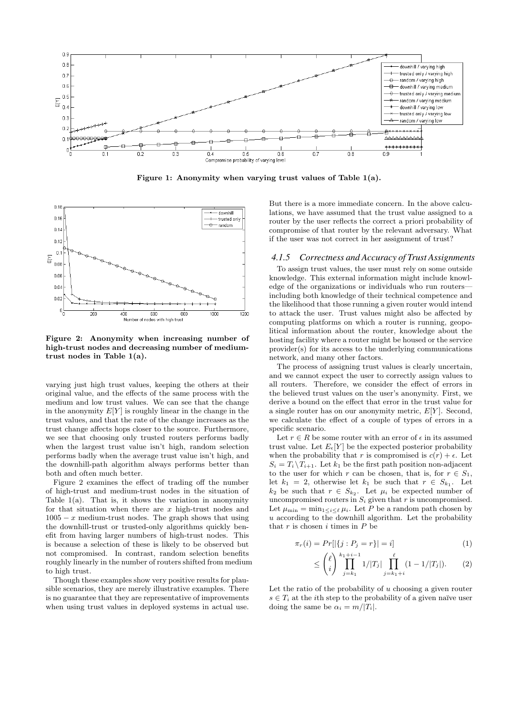

Figure 1: Anonymity when varying trust values of Table 1(a).



Figure 2: Anonymity when increasing number of high-trust nodes and decreasing number of mediumtrust nodes in Table 1(a).

varying just high trust values, keeping the others at their original value, and the effects of the same process with the medium and low trust values. We can see that the change in the anonymity  $E[Y]$  is roughly linear in the change in the trust values, and that the rate of the change increases as the trust change affects hops closer to the source. Furthermore, we see that choosing only trusted routers performs badly when the largest trust value isn't high, random selection performs badly when the average trust value isn't high, and the downhill-path algorithm always performs better than both and often much better.

Figure 2 examines the effect of trading off the number of high-trust and medium-trust nodes in the situation of Table 1(a). That is, it shows the variation in anonymity for that situation when there are  $x$  high-trust nodes and  $1005 - x$  medium-trust nodes. The graph shows that using the downhill-trust or trusted-only algorithms quickly benefit from having larger numbers of high-trust nodes. This is because a selection of these is likely to be observed but not compromised. In contrast, random selection benefits roughly linearly in the number of routers shifted from medium to high trust.

Though these examples show very positive results for plausible scenarios, they are merely illustrative examples. There is no guarantee that they are representative of improvements when using trust values in deployed systems in actual use.

But there is a more immediate concern. In the above calculations, we have assumed that the trust value assigned to a router by the user reflects the correct a priori probability of compromise of that router by the relevant adversary. What if the user was not correct in her assignment of trust?

#### *4.1.5 Correctness and Accuracy of Trust Assignments*

To assign trust values, the user must rely on some outside knowledge. This external information might include knowledge of the organizations or individuals who run routers including both knowledge of their technical competence and the likelihood that those running a given router would intend to attack the user. Trust values might also be affected by computing platforms on which a router is running, geopolitical information about the router, knowledge about the hosting facility where a router might be housed or the service provider(s) for its access to the underlying communications network, and many other factors.

The process of assigning trust values is clearly uncertain, and we cannot expect the user to correctly assign values to all routers. Therefore, we consider the effect of errors in the believed trust values on the user's anonymity. First, we derive a bound on the effect that error in the trust value for a single router has on our anonymity metric,  $E[Y]$ . Second, we calculate the effect of a couple of types of errors in a specific scenario.

Let  $r \in R$  be some router with an error of  $\epsilon$  in its assumed trust value. Let  $E_{\epsilon}[Y]$  be the expected posterior probability when the probability that r is compromised is  $c(r) + \epsilon$ . Let  $S_i = T_i \backslash T_{i+1}$ . Let  $k_1$  be the first path position non-adjacent to the user for which r can be chosen, that is, for  $r \in S_1$ , let  $k_1 = 2$ , otherwise let  $k_1$  be such that  $r \in S_{k_1}$ . Let  $k_2$  be such that  $r \in S_{k_2}$ . Let  $\mu_i$  be expected number of uncompromised routers in  $S_i$  given that r is uncompromised. Let  $\mu_{\min} = \min_{1 \leq i \leq \ell} \mu_i$ . Let P be a random path chosen by u according to the downhill algorithm. Let the probability that  $r$  is chosen  $i$  times in  $P$  be

$$
\pi_r(i) = Pr[ |\{ j : P_j = r \}| = i ] \tag{1}
$$

$$
\leq \binom{\ell}{i} \prod_{j=k_1}^{k_1+i-1} 1/|T_j| \prod_{j=k_1+i}^{\ell} (1-1/|T_j|). \tag{2}
$$

Let the ratio of the probability of  $u$  choosing a given router  $s \in T_i$  at the *i*th step to the probability of a given naïve user doing the same be  $\alpha_i = m/|T_i|$ .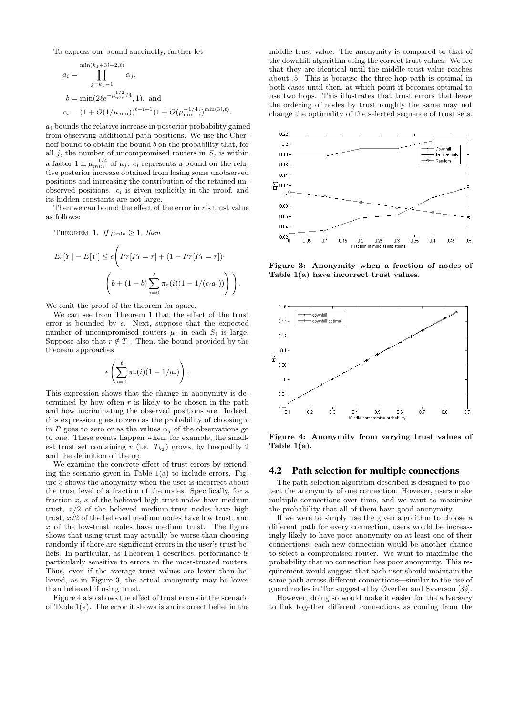To express our bound succinctly, further let

$$
a_i = \prod_{j=k_1-1}^{\min(k_1+3i-2,\ell)} \alpha_j,
$$
  
\n
$$
b = \min(2\ell e^{-\mu_{\min}^{1/2}/4}, 1), \text{ and}
$$
  
\n
$$
c_i = (1 + O(1/\mu_{\min}))^{\ell-i+1} (1 + O(\mu_{\min}^{-1/4}))^{\min(3i,\ell)}.
$$

 $a_i$  bounds the relative increase in posterior probability gained from observing additional path positions. We use the Chernoff bound to obtain the bound  $b$  on the probability that, for all  $j$ , the number of uncompromised routers in  $S_j$  is within a factor  $1 \pm \mu_{min}^{-1/4}$  of  $\mu_j$ .  $c_i$  represents a bound on the relative posterior increase obtained from losing some unobserved positions and increasing the contribution of the retained unobserved positions.  $c_i$  is given explicitly in the proof, and its hidden constants are not large.

Then we can bound the effect of the error in r's trust value as follows:

THEOREM 1. If 
$$
\mu_{\min} \geq 1
$$
, then

$$
E_{\epsilon}[Y] - E[Y] \le \epsilon \left( Pr[P_1 = r] + (1 - Pr[P_1 = r]) \cdot \left( b + (1 - b) \sum_{i=0}^{\ell} \pi_r(i) (1 - 1/(c_i a_i)) \right) \right).
$$

We omit the proof of the theorem for space.

We can see from Theorem 1 that the effect of the trust error is bounded by  $\epsilon$ . Next, suppose that the expected number of uncompromised routers  $\mu_i$  in each  $S_i$  is large. Suppose also that  $r \notin T_1$ . Then, the bound provided by the theorem approaches

$$
\epsilon \left( \sum_{i=0}^{\ell} \pi_r(i) (1 - 1/a_i) \right).
$$

This expression shows that the change in anonymity is determined by how often  $r$  is likely to be chosen in the path and how incriminating the observed positions are. Indeed, this expression goes to zero as the probability of choosing  $r$ in P goes to zero or as the values  $\alpha_i$  of the observations go to one. These events happen when, for example, the smallest trust set containing r (i.e.  $T_{k_2}$ ) grows, by Inequality 2 and the definition of the  $\alpha_j$ .

We examine the concrete effect of trust errors by extending the scenario given in Table  $1(a)$  to include errors. Figure 3 shows the anonymity when the user is incorrect about the trust level of a fraction of the nodes. Specifically, for a fraction  $x, x$  of the believed high-trust nodes have medium trust,  $x/2$  of the believed medium-trust nodes have high trust,  $x/2$  of the believed medium nodes have low trust, and  $x$  of the low-trust nodes have medium trust. The figure shows that using trust may actually be worse than choosing randomly if there are significant errors in the user's trust beliefs. In particular, as Theorem 1 describes, performance is particularly sensitive to errors in the most-trusted routers. Thus, even if the average trust values are lower than believed, as in Figure 3, the actual anonymity may be lower than believed if using trust.

Figure 4 also shows the effect of trust errors in the scenario of Table  $1(a)$ . The error it shows is an incorrect belief in the

middle trust value. The anonymity is compared to that of the downhill algorithm using the correct trust values. We see that they are identical until the middle trust value reaches about .5. This is because the three-hop path is optimal in both cases until then, at which point it becomes optimal to use two hops. This illustrates that trust errors that leave the ordering of nodes by trust roughly the same may not change the optimality of the selected sequence of trust sets.



Figure 3: Anonymity when a fraction of nodes of Table 1(a) have incorrect trust values.



Figure 4: Anonymity from varying trust values of Table 1(a).

## 4.2 Path selection for multiple connections

The path-selection algorithm described is designed to protect the anonymity of one connection. However, users make multiple connections over time, and we want to maximize the probability that all of them have good anonymity.

If we were to simply use the given algorithm to choose a different path for every connection, users would be increasingly likely to have poor anonymity on at least one of their connections: each new connection would be another chance to select a compromised router. We want to maximize the probability that no connection has poor anonymity. This requirement would suggest that each user should maintain the same path across different connections—similar to the use of guard nodes in Tor suggested by Øverlier and Syverson [39].

However, doing so would make it easier for the adversary to link together different connections as coming from the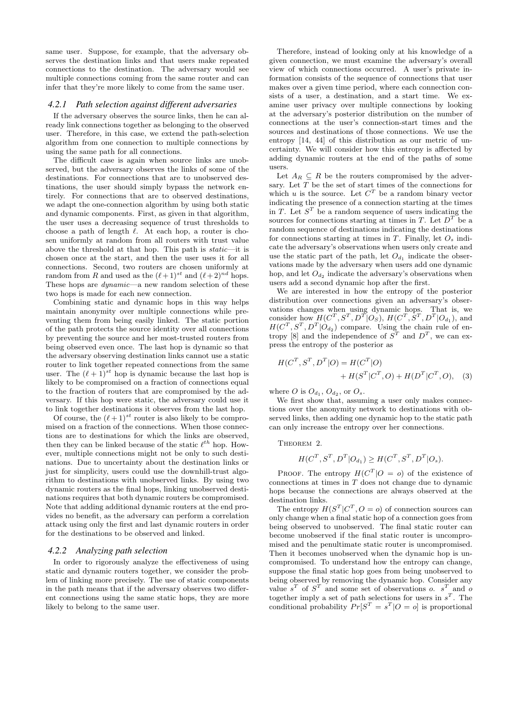same user. Suppose, for example, that the adversary observes the destination links and that users make repeated connections to the destination. The adversary would see multiple connections coming from the same router and can infer that they're more likely to come from the same user.

#### *4.2.1 Path selection against different adversaries*

If the adversary observes the source links, then he can already link connections together as belonging to the observed user. Therefore, in this case, we extend the path-selection algorithm from one connection to multiple connections by using the same path for all connections.

The difficult case is again when source links are unobserved, but the adversary observes the links of some of the destinations. For connections that are to unobserved destinations, the user should simply bypass the network entirely. For connections that are to observed destinations, we adapt the one-connection algorithm by using both static and dynamic components. First, as given in that algorithm, the user uses a decreasing sequence of trust thresholds to choose a path of length  $\ell$ . At each hop, a router is chosen uniformly at random from all routers with trust value above the threshold at that hop. This path is static—it is chosen once at the start, and then the user uses it for all connections. Second, two routers are chosen uniformly at random from R and used as the  $(\ell + 1)^{st}$  and  $(\ell + 2)^{nd}$  hops. These hops are dynamic—a new random selection of these two hops is made for each new connection.

Combining static and dynamic hops in this way helps maintain anonymity over multiple connections while preventing them from being easily linked. The static portion of the path protects the source identity over all connections by preventing the source and her most-trusted routers from being observed even once. The last hop is dynamic so that the adversary observing destination links cannot use a static router to link together repeated connections from the same user. The  $(\ell + 1)^{st}$  hop is dynamic because the last hop is likely to be compromised on a fraction of connections equal to the fraction of routers that are compromised by the adversary. If this hop were static, the adversary could use it to link together destinations it observes from the last hop.

Of course, the  $(\ell + 1)^{st}$  router is also likely to be compromised on a fraction of the connections. When those connections are to destinations for which the links are observed, then they can be linked because of the static  $\ell^{th}$  hop. However, multiple connections might not be only to such destinations. Due to uncertainty about the destination links or just for simplicity, users could use the downhill-trust algorithm to destinations with unobserved links. By using two dynamic routers as the final hops, linking unobserved destinations requires that both dynamic routers be compromised. Note that adding additional dynamic routers at the end provides no benefit, as the adversary can perform a correlation attack using only the first and last dynamic routers in order for the destinations to be observed and linked.

#### *4.2.2 Analyzing path selection*

In order to rigorously analyze the effectiveness of using static and dynamic routers together, we consider the problem of linking more precisely. The use of static components in the path means that if the adversary observes two different connections using the same static hops, they are more likely to belong to the same user.

Therefore, instead of looking only at his knowledge of a given connection, we must examine the adversary's overall view of which connections occurred. A user's private information consists of the sequence of connections that user makes over a given time period, where each connection consists of a user, a destination, and a start time. We examine user privacy over multiple connections by looking at the adversary's posterior distribution on the number of connections at the user's connection-start times and the sources and destinations of those connections. We use the entropy [14, 44] of this distribution as our metric of uncertainty. We will consider how this entropy is affected by adding dynamic routers at the end of the paths of some users.

Let  $A_R \subseteq R$  be the routers compromised by the adversary. Let T be the set of start times of the connections for which u is the source. Let  $C^T$  be a random binary vector indicating the presence of a connection starting at the times in T. Let  $S<sup>T</sup>$  be a random sequence of users indicating the sources for connections starting at times in T. Let  $D<sup>T</sup>$  be a random sequence of destinations indicating the destinations for connections starting at times in  $T$ . Finally, let  $O_s$  indicate the adversary's observations when users only create and use the static part of the path, let  $O_{d_1}$  indicate the observations made by the adversary when users add one dynamic hop, and let  $O_{d_2}$  indicate the adversary's observations when users add a second dynamic hop after the first.

We are interested in how the entropy of the posterior distribution over connections given an adversary's observations changes when using dynamic hops. That is, we consider how  $H(C^T, S^T, D^T|O_s)$ ,  $H(C^T, S^T, D^T|O_{d_1})$ , and  $H(C^T, S^T, D^T|O_{d_2})$  compare. Using the chain rule of entropy [8] and the independence of  $S<sup>T</sup>$  and  $D<sup>T</sup>$ , we can express the entropy of the posterior as

$$
H(C^T, S^T, D^T|O) = H(C^T|O)
$$
  
+ 
$$
H(S^T|C^T, O) + H(D^T|C^T, O),
$$
 (3)

where O is  $O_{d_1}, O_{d_2},$  or  $O_s$ .

We first show that, assuming a user only makes connections over the anonymity network to destinations with observed links, then adding one dynamic hop to the static path can only increase the entropy over her connections.

THEOREM 2.

$$
H(C^T, S^T, D^T|O_{d_1}) \ge H(C^T, S^T, D^T|O_s).
$$

PROOF. The entropy  $H(C^T|O = o)$  of the existence of connections at times in  $T$  does not change due to dynamic hops because the connections are always observed at the destination links.

The entropy  $H(S^T|C^T, O = o)$  of connection sources can only change when a final static hop of a connection goes from being observed to unobserved. The final static router can become unobserved if the final static router is uncompromised and the penultimate static router is uncompromised. Then it becomes unobserved when the dynamic hop is uncompromised. To understand how the entropy can change, suppose the final static hop goes from being unobserved to being observed by removing the dynamic hop. Consider any value  $s^T$  of  $S^T$  and some set of observations o.  $s^T$  and o together imply a set of path selections for users in  $s^T$ . The conditional probability  $Pr[S^T = s^T | O = o]$  is proportional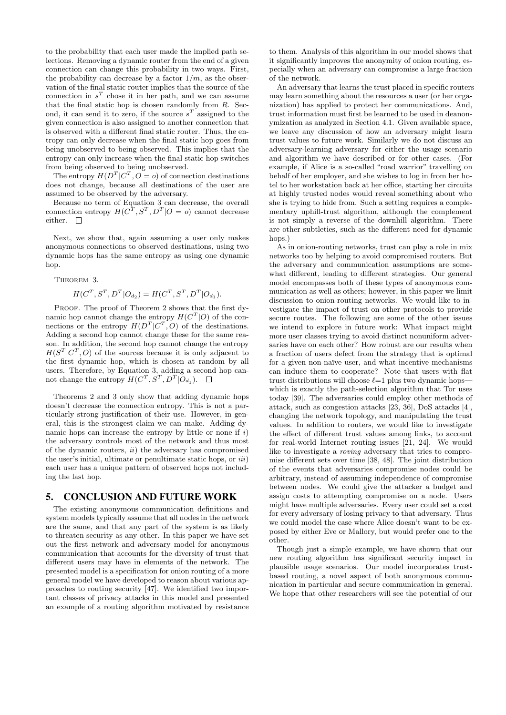to the probability that each user made the implied path selections. Removing a dynamic router from the end of a given connection can change this probability in two ways. First, the probability can decrease by a factor  $1/m$ , as the observation of the final static router implies that the source of the connection in  $s<sup>T</sup>$  chose it in her path, and we can assume that the final static hop is chosen randomly from R. Second, it can send it to zero, if the source  $s^T$  assigned to the given connection is also assigned to another connection that is observed with a different final static router. Thus, the entropy can only decrease when the final static hop goes from being unobserved to being observed. This implies that the entropy can only increase when the final static hop switches from being observed to being unobserved.

The entropy  $H(D^T|C^T, O = o)$  of connection destinations does not change, because all destinations of the user are assumed to be observed by the adversary.

Because no term of Equation 3 can decrease, the overall connection entropy  $H(C^T, S^T, D^T | O = o)$  cannot decrease either.  $\Box$ 

Next, we show that, again assuming a user only makes anonymous connections to observed destinations, using two dynamic hops has the same entropy as using one dynamic hop.

THEOREM 3.

$$
H(C^T, S^T, D^T|O_{d_2}) = H(C^T, S^T, D^T|O_{d_1}).
$$

PROOF. The proof of Theorem 2 shows that the first dynamic hop cannot change the entropy  $H(C^T|O)$  of the connections or the entropy  $H(D^T|C^T, O)$  of the destinations. Adding a second hop cannot change these for the same reason. In addition, the second hop cannot change the entropy  $H(S^T|C^T, O)$  of the sources because it is only adjacent to the first dynamic hop, which is chosen at random by all users. Therefore, by Equation 3, adding a second hop cannot change the entropy  $H(C^T, S^T, D^T | \tilde{O}_{d_1}).$ 

Theorems 2 and 3 only show that adding dynamic hops doesn't decrease the connection entropy. This is not a particularly strong justification of their use. However, in general, this is the strongest claim we can make. Adding dynamic hops can increase the entropy by little or none if  $i$ ) the adversary controls most of the network and thus most of the dynamic routers,  $ii)$  the adversary has compromised the user's initial, ultimate or penultimate static hops, or  $iii$ ) each user has a unique pattern of observed hops not including the last hop.

## 5. CONCLUSION AND FUTURE WORK

The existing anonymous communication definitions and system models typically assume that all nodes in the network are the same, and that any part of the system is as likely to threaten security as any other. In this paper we have set out the first network and adversary model for anonymous communication that accounts for the diversity of trust that different users may have in elements of the network. The presented model is a specification for onion routing of a more general model we have developed to reason about various approaches to routing security [47]. We identified two important classes of privacy attacks in this model and presented an example of a routing algorithm motivated by resistance

to them. Analysis of this algorithm in our model shows that it significantly improves the anonymity of onion routing, especially when an adversary can compromise a large fraction of the network.

An adversary that learns the trust placed in specific routers may learn something about the resources a user (or her organization) has applied to protect her communications. And, trust information must first be learned to be used in deanonymization as analyzed in Section 4.1. Given available space, we leave any discussion of how an adversary might learn trust values to future work. Similarly we do not discuss an adversary-learning adversary for either the usage scenario and algorithm we have described or for other cases. (For example, if Alice is a so-called "road warrior" travelling on behalf of her employer, and she wishes to log in from her hotel to her workstation back at her office, starting her circuits at highly trusted nodes would reveal something about who she is trying to hide from. Such a setting requires a complementary uphill-trust algorithm, although the complement is not simply a reverse of the downhill algorithm. There are other subtleties, such as the different need for dynamic hops.)

As in onion-routing networks, trust can play a role in mix networks too by helping to avoid compromised routers. But the adversary and communication assumptions are somewhat different, leading to different strategies. Our general model encompasses both of these types of anonymous communication as well as others; however, in this paper we limit discussion to onion-routing networks. We would like to investigate the impact of trust on other protocols to provide secure routes. The following are some of the other issues we intend to explore in future work: What impact might more user classes trying to avoid distinct nonuniform adversaries have on each other? How robust are our results when a fraction of users defect from the strategy that is optimal for a given non-naïve user, and what incentive mechanisms can induce them to cooperate? Note that users with flat trust distributions will choose  $\ell=1$  plus two dynamic hopswhich is exactly the path-selection algorithm that Tor uses today [39]. The adversaries could employ other methods of attack, such as congestion attacks [23, 36], DoS attacks [4], changing the network topology, and manipulating the trust values. In addition to routers, we would like to investigate the effect of different trust values among links, to account for real-world Internet routing issues [21, 24]. We would like to investigate a roving adversary that tries to compromise different sets over time [38, 48]. The joint distribution of the events that adversaries compromise nodes could be arbitrary, instead of assuming independence of compromise between nodes. We could give the attacker a budget and assign costs to attempting compromise on a node. Users might have multiple adversaries. Every user could set a cost for every adversary of losing privacy to that adversary. Thus we could model the case where Alice doesn't want to be exposed by either Eve or Mallory, but would prefer one to the other.

Though just a simple example, we have shown that our new routing algorithm has significant security impact in plausible usage scenarios. Our model incorporates trustbased routing, a novel aspect of both anonymous communication in particular and secure communication in general. We hope that other researchers will see the potential of our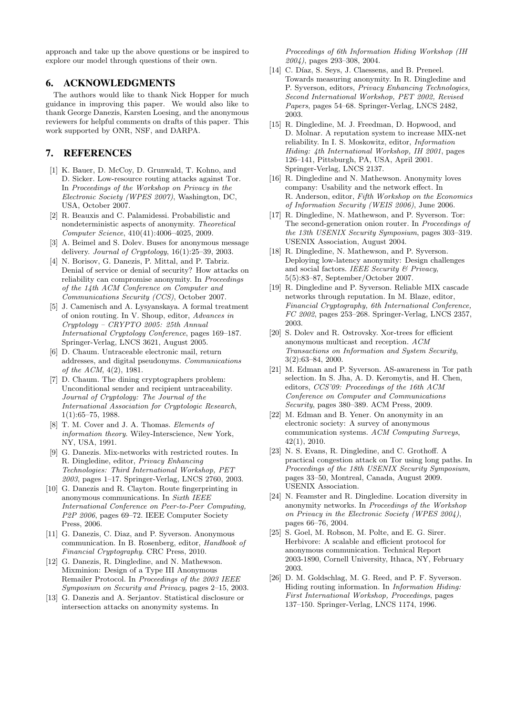approach and take up the above questions or be inspired to explore our model through questions of their own.

## 6. ACKNOWLEDGMENTS

The authors would like to thank Nick Hopper for much guidance in improving this paper. We would also like to thank George Danezis, Karsten Loesing, and the anonymous reviewers for helpful comments on drafts of this paper. This work supported by ONR, NSF, and DARPA.

# 7. REFERENCES

- [1] K. Bauer, D. McCoy, D. Grunwald, T. Kohno, and D. Sicker. Low-resource routing attacks against Tor. In Proceedings of the Workshop on Privacy in the Electronic Society (WPES 2007), Washington, DC, USA, October 2007.
- [2] R. Beauxis and C. Palamidessi. Probabilistic and nondeterministic aspects of anonymity. Theoretical Computer Science, 410(41):4006–4025, 2009.
- [3] A. Beimel and S. Dolev. Buses for anonymous message delivery. Journal of Cryptology, 16(1):25–39, 2003.
- [4] N. Borisov, G. Danezis, P. Mittal, and P. Tabriz. Denial of service or denial of security? How attacks on reliability can compromise anonymity. In Proceedings of the 14th ACM Conference on Computer and Communications Security (CCS), October 2007.
- [5] J. Camenisch and A. Lysyanskaya. A formal treatment of onion routing. In V. Shoup, editor, Advances in Cryptology – CRYPTO 2005: 25th Annual International Cryptology Conference, pages 169–187. Springer-Verlag, LNCS 3621, August 2005.
- [6] D. Chaum. Untraceable electronic mail, return addresses, and digital pseudonyms. Communications of the ACM, 4(2), 1981.
- [7] D. Chaum. The dining cryptographers problem: Unconditional sender and recipient untraceability. Journal of Cryptology: The Journal of the International Association for Cryptologic Research, 1(1):65–75, 1988.
- [8] T. M. Cover and J. A. Thomas. Elements of information theory. Wiley-Interscience, New York, NY, USA, 1991.
- [9] G. Danezis. Mix-networks with restricted routes. In R. Dingledine, editor, Privacy Enhancing Technologies: Third International Workshop, PET 2003, pages 1–17. Springer-Verlag, LNCS 2760, 2003.
- [10] G. Danezis and R. Clayton. Route fingerprinting in anonymous communications. In Sixth IEEE International Conference on Peer-to-Peer Computing, P<sub>2</sub>P 2006, pages 69–72. IEEE Computer Society Press, 2006.
- [11] G. Danezis, C. Diaz, and P. Syverson. Anonymous communication. In B. Rosenberg, editor, Handbook of Financial Cryptography. CRC Press, 2010.
- [12] G. Danezis, R. Dingledine, and N. Mathewson. Mixminion: Design of a Type III Anonymous Remailer Protocol. In Proceedings of the 2003 IEEE Symposium on Security and Privacy, pages 2–15, 2003.
- [13] G. Danezis and A. Serjantov. Statistical disclosure or intersection attacks on anonymity systems. In

Proceedings of 6th Information Hiding Workshop (IH 2004), pages 293–308, 2004.

- [14] C. Díaz, S. Seys, J. Claessens, and B. Preneel. Towards measuring anonymity. In R. Dingledine and P. Syverson, editors, Privacy Enhancing Technologies, Second International Workshop, PET 2002, Revised Papers, pages 54–68. Springer-Verlag, LNCS 2482, 2003.
- [15] R. Dingledine, M. J. Freedman, D. Hopwood, and D. Molnar. A reputation system to increase MIX-net reliability. In I. S. Moskowitz, editor, Information Hiding: 4th International Workshop, IH 2001, pages 126–141, Pittsburgh, PA, USA, April 2001. Springer-Verlag, LNCS 2137.
- [16] R. Dingledine and N. Mathewson. Anonymity loves company: Usability and the network effect. In R. Anderson, editor, Fifth Workshop on the Economics of Information Security (WEIS 2006), June 2006.
- [17] R. Dingledine, N. Mathewson, and P. Syverson. Tor: The second-generation onion router. In Proceedings of the 13th USENIX Security Symposium, pages 303–319. USENIX Association, August 2004.
- [18] R. Dingledine, N. Mathewson, and P. Syverson. Deploying low-latency anonymity: Design challenges and social factors. IEEE Security  $\mathcal B$  Privacy, 5(5):83–87, September/October 2007.
- [19] R. Dingledine and P. Syverson. Reliable MIX cascade networks through reputation. In M. Blaze, editor, Financial Cryptography, 6th International Conference, FC 2002, pages 253–268. Springer-Verlag, LNCS 2357, 2003.
- [20] S. Dolev and R. Ostrovsky. Xor-trees for efficient anonymous multicast and reception. ACM Transactions on Information and System Security, 3(2):63–84, 2000.
- [21] M. Edman and P. Syverson. AS-awareness in Tor path selection. In S. Jha, A. D. Keromytis, and H. Chen, editors, CCS'09: Proceedings of the 16th ACM Conference on Computer and Communications Security, pages 380–389. ACM Press, 2009.
- [22] M. Edman and B. Yener. On anonymity in an electronic society: A survey of anonymous communication systems. ACM Computing Surveys, 42(1), 2010.
- [23] N. S. Evans, R. Dingledine, and C. Grothoff. A practical congestion attack on Tor using long paths. In Proceedings of the 18th USENIX Security Symposium, pages 33–50, Montreal, Canada, August 2009. USENIX Association.
- [24] N. Feamster and R. Dingledine. Location diversity in anonymity networks. In Proceedings of the Workshop on Privacy in the Electronic Society (WPES 2004), pages 66–76, 2004.
- [25] S. Goel, M. Robson, M. Polte, and E. G. Sirer. Herbivore: A scalable and efficient protocol for anonymous communication. Technical Report 2003-1890, Cornell University, Ithaca, NY, February 2003.
- [26] D. M. Goldschlag, M. G. Reed, and P. F. Syverson. Hiding routing information. In Information Hiding: First International Workshop, Proceedings, pages 137–150. Springer-Verlag, LNCS 1174, 1996.